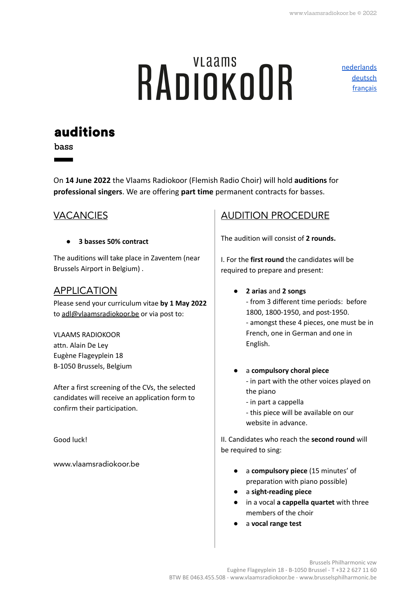# **RADIOKOOR**

[nederlands](https://www.vlaamsradiokoor.be/uploads/vacatures/Audities-2022-Vlaams-Radiokoor-Bas-NL.pdf) [deutsch](https://www.vlaamsradiokoor.be/uploads/vacatures/Vorsingen-2022-Vlaams-Radiokoor-Bass-DE.pdf) francais

# **auditions**

bass

On **14 June 2022** the Vlaams Radiokoor (Flemish Radio Choir) will hold **auditions** for **professional singers**. We are offering **part time** permanent contracts for basses.

#### **VACANCIES**

**● 3 basses 50% contract**

The auditions will take place in Zaventem (near Brussels Airport in Belgium) .

#### APPLICATION

Please send your curriculum vitae **by 1 May 2022** to [adl@vlaamsradiokoor.be](mailto:adl@brusselsphilharmonic.be) or via post to:

VLAAMS RADIOKOOR attn. Alain De Ley Eugène Flageyplein 18 B-1050 Brussels, Belgium

After a first screening of the CVs, the selected candidates will receive an application form to confirm their participation.

Good luck!

[www.vlaamsradiokoor.be](http://www.vlaamsradiokoor.be)

#### AUDITION PROCEDURE

The audition will consist of **2 rounds.**

I. For the **first round** the candidates will be required to prepare and present:

● **2 arias** and **2 songs**

- from 3 different time periods: before 1800, 1800-1950, and post-1950. - amongst these 4 pieces, one must be in French, one in German and one in English.

- a **compulsory choral piece** - in part with the other voices played on the piano
	- in part a cappella
	- this piece will be available on our website in advance.

II. Candidates who reach the **second round** will be required to sing:

- a **compulsory piece** (15 minutes' of preparation with piano possible)
- a **sight-reading piece**
- in a vocal **a cappella quartet** with three members of the choir
- a **vocal range test**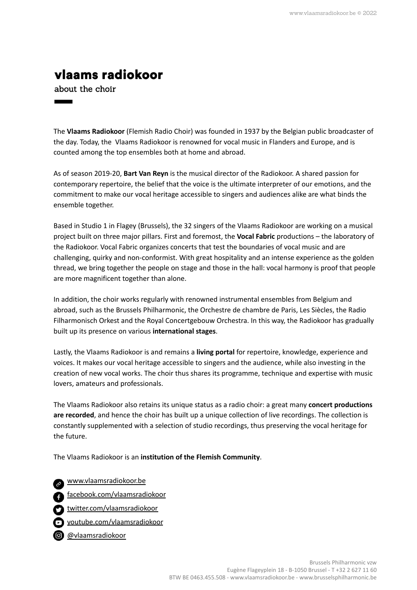### vlaams radiokoor

about the choir

The **Vlaams Radiokoor** (Flemish Radio Choir) was founded in 1937 by the Belgian public broadcaster of the day. Today, the Vlaams Radiokoor is renowned for vocal music in Flanders and Europe, and is counted among the top ensembles both at home and abroad.

As of season 2019-20, **Bart Van Reyn** is the musical director of the Radiokoor. A shared passion for contemporary repertoire, the belief that the voice is the ultimate interpreter of our emotions, and the commitment to make our vocal heritage accessible to singers and audiences alike are what binds the ensemble together.

Based in Studio 1 in Flagey (Brussels), the 32 singers of the Vlaams Radiokoor are working on a musical project built on three major pillars. First and foremost, the **Vocal Fabric** productions – the laboratory of the Radiokoor. Vocal Fabric organizes concerts that test the boundaries of vocal music and are challenging, quirky and non-conformist. With great hospitality and an intense experience as the golden thread, we bring together the people on stage and those in the hall: vocal harmony is proof that people are more magnificent together than alone.

In addition, the choir works regularly with renowned instrumental ensembles from Belgium and abroad, such as the Brussels Philharmonic, the Orchestre de chambre de Paris, Les Siècles, the Radio Filharmonisch Orkest and the Royal Concertgebouw Orchestra. In this way, the Radiokoor has gradually built up its presence on various **international stages**.

Lastly, the Vlaams Radiokoor is and remains a **living portal** for repertoire, knowledge, experience and voices. It makes our vocal heritage accessible to singers and the audience, while also investing in the creation of new vocal works. The choir thus shares its programme, technique and expertise with music lovers, amateurs and professionals.

The Vlaams Radiokoor also retains its unique status as a radio choir: a great many **concert productions are recorded**, and hence the choir has built up a unique collection of live recordings. The collection is constantly supplemented with a selection of studio recordings, thus preserving the vocal heritage for the future.

The Vlaams Radiokoor is an **institution of the Flemish Community**.

[www.vlaamsradiokoor.be](http://www.vlaamsradiokoor.be)

- [facebook.com/vlaamsradiokoor](http://www.facebook.com/VlaamsRadioKoor)
- [twitter.com/vlaamsradiokoor](http://www.twitter.com/VlaamsRadioKoor)
- [youtube.com/vlaamsradiokoor](http://www.youtube.com/VlaamsRadioKoor)
- [@vlaamsradiokoor](http://www.instagram.com/vlaamsradiokoor)